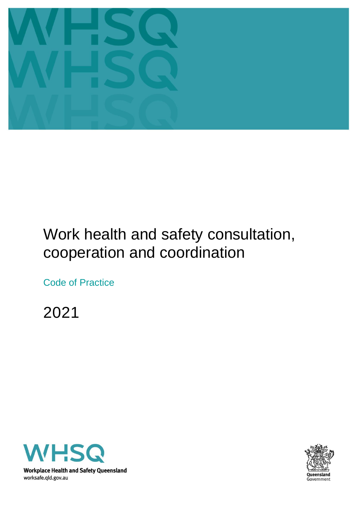

# Work health and safety consultation, cooperation and coordination

Code of Practice

2021



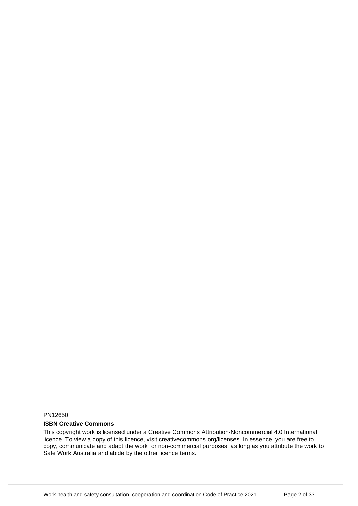PN12650

#### **ISBN Creative Commons**

This copyright work is licensed under a Creative Commons Attribution-Noncommercial 4.0 International licence. To view a copy of this licence, visit creativecommons.org/licenses. In essence, you are free to copy, communicate and adapt the work for non-commercial purposes, as long as you attribute the work to Safe Work Australia and abide by the other licence terms.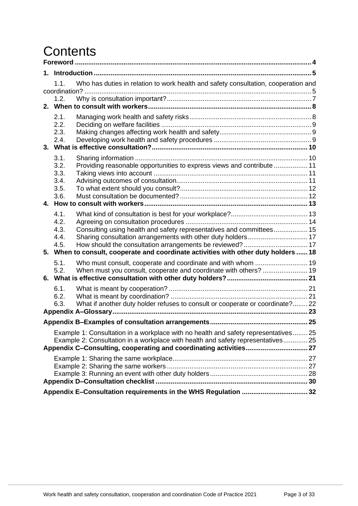# **Contents**

|  | 1.1.                                         | Who has duties in relation to work health and safety consultation, cooperation and<br>coordination?                                                                                                                                          |  |  |
|--|----------------------------------------------|----------------------------------------------------------------------------------------------------------------------------------------------------------------------------------------------------------------------------------------------|--|--|
|  | 1.2.                                         |                                                                                                                                                                                                                                              |  |  |
|  | 2.1.<br>2.2.<br>2.3.<br>2.4.                 |                                                                                                                                                                                                                                              |  |  |
|  | 3.1.<br>3.2.<br>3.3.<br>3.4.<br>3.5.<br>3.6. | Providing reasonable opportunities to express views and contribute  11                                                                                                                                                                       |  |  |
|  | 4.1.<br>4.2.<br>4.3.<br>4.4.<br>4.5.         | Consulting using health and safety representatives and committees 15<br>Sharing consultation arrangements with other duty holders 17<br>5. When to consult, cooperate and coordinate activities with other duty holders  18                  |  |  |
|  | 5.1.<br>5.2.                                 | Who must consult, cooperate and coordinate and with whom  19<br>When must you consult, cooperate and coordinate with others?  19                                                                                                             |  |  |
|  | 6.1.<br>6.2.<br>6.3.                         | What if another duty holder refuses to consult or cooperate or coordinate? 22                                                                                                                                                                |  |  |
|  |                                              |                                                                                                                                                                                                                                              |  |  |
|  |                                              | Example 1: Consultation in a workplace with no health and safety representatives 25<br>Example 2: Consultation in a workplace with health and safety representatives 25<br>Appendix C-Consulting, cooperating and coordinating activities 27 |  |  |
|  |                                              |                                                                                                                                                                                                                                              |  |  |
|  |                                              |                                                                                                                                                                                                                                              |  |  |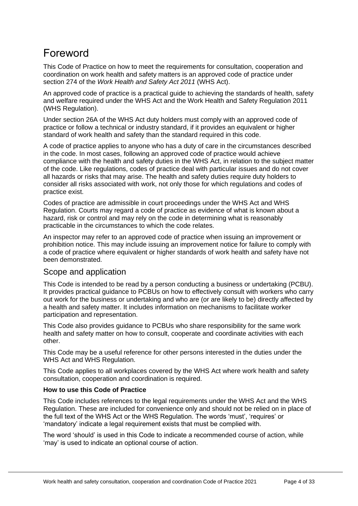# <span id="page-3-0"></span>Foreword

This Code of Practice on how to meet the requirements for consultation, cooperation and coordination on work health and safety matters is an approved code of practice under section 274 of the *Work Health and Safety Act 2011* (WHS Act).

An approved code of practice is a practical guide to achieving the standards of health, safety and welfare required under the WHS Act and the Work Health and Safety Regulation 2011 (WHS Regulation).

Under section 26A of the WHS Act duty holders must comply with an approved code of practice or follow a technical or industry standard, if it provides an equivalent or higher standard of work health and safety than the standard required in this code.

A code of practice applies to anyone who has a duty of care in the circumstances described in the code. In most cases, following an approved code of practice would achieve compliance with the health and safety duties in the WHS Act, in relation to the subject matter of the code. Like regulations, codes of practice deal with particular issues and do not cover all hazards or risks that may arise. The health and safety duties require duty holders to consider all risks associated with work, not only those for which regulations and codes of practice exist.

Codes of practice are admissible in court proceedings under the WHS Act and WHS Regulation. Courts may regard a code of practice as evidence of what is known about a hazard, risk or control and may rely on the code in determining what is reasonably practicable in the circumstances to which the code relates.

An inspector may refer to an approved code of practice when issuing an improvement or prohibition notice. This may include issuing an improvement notice for failure to comply with a code of practice where equivalent or higher standards of work health and safety have not been demonstrated.

## Scope and application

This Code is intended to be read by a person conducting a business or undertaking (PCBU). It provides practical guidance to PCBUs on how to effectively consult with workers who carry out work for the business or undertaking and who are (or are likely to be) directly affected by a health and safety matter. It includes information on mechanisms to facilitate worker participation and representation.

This Code also provides guidance to PCBUs who share responsibility for the same work health and safety matter on how to consult, cooperate and coordinate activities with each other.

This Code may be a useful reference for other persons interested in the duties under the WHS Act and WHS Regulation.

This Code applies to all workplaces covered by the WHS Act where work health and safety consultation, cooperation and coordination is required.

#### **How to use this Code of Practice**

This Code includes references to the legal requirements under the WHS Act and the WHS Regulation. These are included for convenience only and should not be relied on in place of the full text of the WHS Act or the WHS Regulation. The words 'must', 'requires' or 'mandatory' indicate a legal requirement exists that must be complied with.

The word 'should' is used in this Code to indicate a recommended course of action, while 'may' is used to indicate an optional course of action.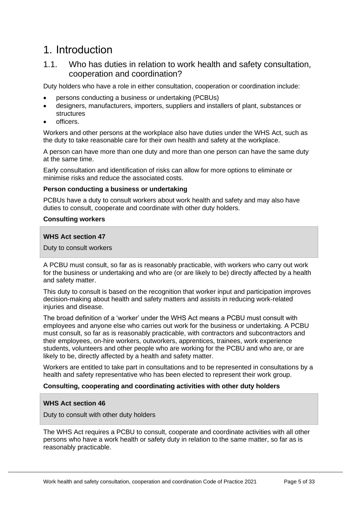## <span id="page-4-0"></span>1. Introduction

## <span id="page-4-1"></span>1.1. Who has duties in relation to work health and safety consultation, cooperation and coordination?

Duty holders who have a role in either consultation, cooperation or coordination include:

- persons conducting a business or undertaking (PCBUs)
- designers, manufacturers, importers, suppliers and installers of plant, substances or structures
- officers.

Workers and other persons at the workplace also have duties under the WHS Act, such as the duty to take reasonable care for their own health and safety at the workplace.

A person can have more than one duty and more than one person can have the same duty at the same time.

Early consultation and identification of risks can allow for more options to eliminate or minimise risks and reduce the associated costs.

#### **Person conducting a business or undertaking**

PCBUs have a duty to consult workers about work health and safety and may also have duties to consult, cooperate and coordinate with other duty holders.

#### **Consulting workers**

#### **WHS Act section 47**

Duty to consult workers

A PCBU must consult, so far as is reasonably practicable, with workers who carry out work for the business or undertaking and who are (or are likely to be) directly affected by a health and safety matter.

This duty to consult is based on the recognition that worker input and participation improves decision-making about health and safety matters and assists in reducing work-related injuries and disease.

The broad definition of a 'worker' under the WHS Act means a PCBU must consult with employees and anyone else who carries out work for the business or undertaking. A PCBU must consult, so far as is reasonably practicable, with contractors and subcontractors and their employees, on-hire workers, outworkers, apprentices, trainees, work experience students, volunteers and other people who are working for the PCBU and who are, or are likely to be, directly affected by a health and safety matter.

Workers are entitled to take part in consultations and to be represented in consultations by a health and safety representative who has been elected to represent their work group.

#### **Consulting, cooperating and coordinating activities with other duty holders**

#### **WHS Act section 46**

Duty to consult with other duty holders

The WHS Act requires a PCBU to consult, cooperate and coordinate activities with all other persons who have a work health or safety duty in relation to the same matter, so far as is reasonably practicable.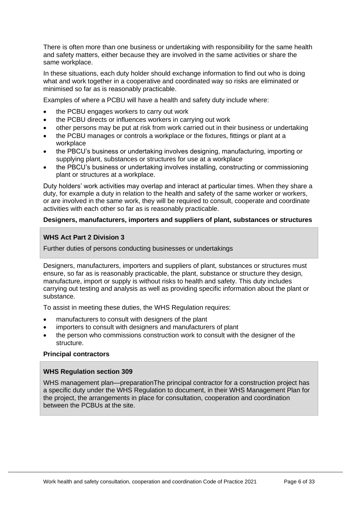There is often more than one business or undertaking with responsibility for the same health and safety matters, either because they are involved in the same activities or share the same workplace.

In these situations, each duty holder should exchange information to find out who is doing what and work together in a cooperative and coordinated way so risks are eliminated or minimised so far as is reasonably practicable.

Examples of where a PCBU will have a health and safety duty include where:

- the PCBU engages workers to carry out work
- the PCBU directs or influences workers in carrying out work
- other persons may be put at risk from work carried out in their business or undertaking
- the PCBU manages or controls a workplace or the fixtures, fittings or plant at a workplace
- the PBCU's business or undertaking involves designing, manufacturing, importing or supplying plant, substances or structures for use at a workplace
- the PBCU's business or undertaking involves installing, constructing or commissioning plant or structures at a workplace.

Duty holders' work activities may overlap and interact at particular times. When they share a duty, for example a duty in relation to the health and safety of the same worker or workers, or are involved in the same work, they will be required to consult, cooperate and coordinate activities with each other so far as is reasonably practicable.

#### **Designers, manufacturers, importers and suppliers of plant, substances or structures**

#### **WHS Act Part 2 Division 3**

Further duties of persons conducting businesses or undertakings

Designers, manufacturers, importers and suppliers of plant, substances or structures must ensure, so far as is reasonably practicable, the plant, substance or structure they design, manufacture, import or supply is without risks to health and safety. This duty includes carrying out testing and analysis as well as providing specific information about the plant or substance.

To assist in meeting these duties, the WHS Regulation requires:

- manufacturers to consult with designers of the plant
- importers to consult with designers and manufacturers of plant
- the person who commissions construction work to consult with the designer of the structure.

#### **Principal contractors**

#### **WHS Regulation section 309**

WHS management plan—preparationThe principal contractor for a construction project has a specific duty under the WHS Regulation to document, in their WHS Management Plan for the project, the arrangements in place for consultation, cooperation and coordination between the PCBUs at the site.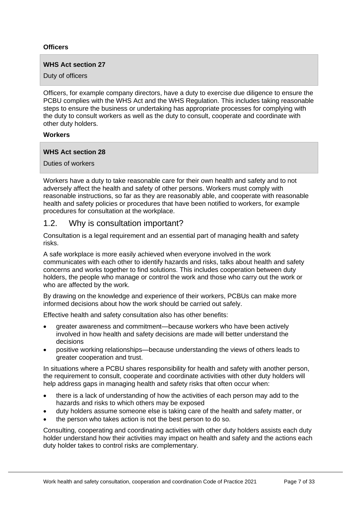#### **Officers**

#### **WHS Act section 27**

Duty of officers

Officers, for example company directors, have a duty to exercise due diligence to ensure the PCBU complies with the WHS Act and the WHS Regulation. This includes taking reasonable steps to ensure the business or undertaking has appropriate processes for complying with the duty to consult workers as well as the duty to consult, cooperate and coordinate with other duty holders.

#### **Workers**

#### **WHS Act section 28**

Duties of workers

Workers have a duty to take reasonable care for their own health and safety and to not adversely affect the health and safety of other persons. Workers must comply with reasonable instructions, so far as they are reasonably able, and cooperate with reasonable health and safety policies or procedures that have been notified to workers, for example procedures for consultation at the workplace.

## <span id="page-6-0"></span>1.2. Why is consultation important?

Consultation is a legal requirement and an essential part of managing health and safety risks.

A safe workplace is more easily achieved when everyone involved in the work communicates with each other to identify hazards and risks, talks about health and safety concerns and works together to find solutions. This includes cooperation between duty holders, the people who manage or control the work and those who carry out the work or who are affected by the work.

By drawing on the knowledge and experience of their workers, PCBUs can make more informed decisions about how the work should be carried out safely.

Effective health and safety consultation also has other benefits:

- greater awareness and commitment—because workers who have been actively involved in how health and safety decisions are made will better understand the decisions
- positive working relationships—because understanding the views of others leads to greater cooperation and trust.

In situations where a PCBU shares responsibility for health and safety with another person, the requirement to consult, cooperate and coordinate activities with other duty holders will help address gaps in managing health and safety risks that often occur when:

- there is a lack of understanding of how the activities of each person may add to the hazards and risks to which others may be exposed
- duty holders assume someone else is taking care of the health and safety matter, or
- the person who takes action is not the best person to do so.

Consulting, cooperating and coordinating activities with other duty holders assists each duty holder understand how their activities may impact on health and safety and the actions each duty holder takes to control risks are complementary.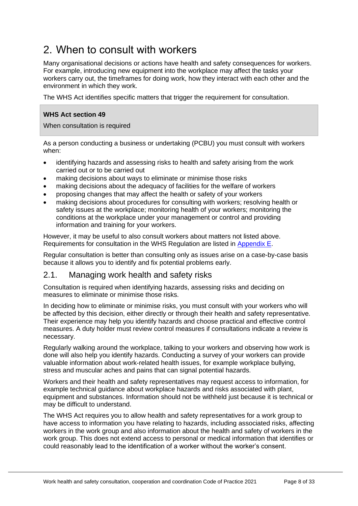# <span id="page-7-0"></span>2. When to consult with workers

Many organisational decisions or actions have health and safety consequences for workers. For example, introducing new equipment into the workplace may affect the tasks your workers carry out, the timeframes for doing work, how they interact with each other and the environment in which they work.

The WHS Act identifies specific matters that trigger the requirement for consultation.

#### **WHS Act section 49**

When consultation is required

As a person conducting a business or undertaking (PCBU) you must consult with workers when:

- identifying hazards and assessing risks to health and safety arising from the work carried out or to be carried out
- making decisions about ways to eliminate or minimise those risks
- making decisions about the adequacy of facilities for the welfare of workers
- proposing changes that may affect the health or safety of your workers
- making decisions about procedures for consulting with workers; resolving health or safety issues at the workplace; monitoring health of your workers; monitoring the conditions at the workplace under your management or control and providing information and training for your workers.

However, it may be useful to also consult workers about matters not listed above. Requirements for consultation in the WHS Regulation are listed in [Appendix E.](#page-30-0)

Regular consultation is better than consulting only as issues arise on a case-by-case basis because it allows you to identify and fix potential problems early.

## <span id="page-7-1"></span>2.1. Managing work health and safety risks

Consultation is required when identifying hazards, assessing risks and deciding on measures to eliminate or minimise those risks.

In deciding how to eliminate or minimise risks, you must consult with your workers who will be affected by this decision, either directly or through their health and safety representative. Their experience may help you identify hazards and choose practical and effective control measures. A duty holder must review control measures if consultations indicate a review is necessary.

Regularly walking around the workplace, talking to your workers and observing how work is done will also help you identify hazards. Conducting a survey of your workers can provide valuable information about work-related health issues, for example workplace bullying, stress and muscular aches and pains that can signal potential hazards.

Workers and their health and safety representatives may request access to information, for example technical guidance about workplace hazards and risks associated with plant, equipment and substances. Information should not be withheld just because it is technical or may be difficult to understand.

The WHS Act requires you to allow health and safety representatives for a work group to have access to information you have relating to hazards, including associated risks, affecting workers in the work group and also information about the health and safety of workers in the work group. This does not extend access to personal or medical information that identifies or could reasonably lead to the identification of a worker without the worker's consent.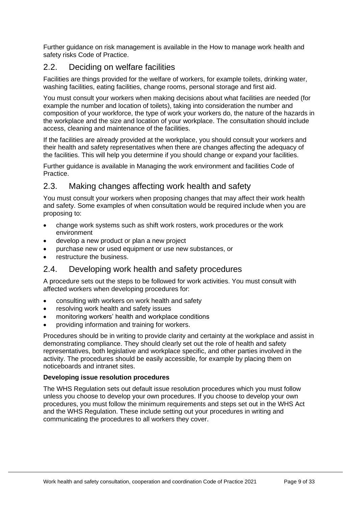Further guidance on risk management is available in the How to manage work health and safety risks Code of Practice.

## <span id="page-8-0"></span>2.2. Deciding on welfare facilities

Facilities are things provided for the welfare of workers, for example toilets, drinking water, washing facilities, eating facilities, change rooms, personal storage and first aid.

You must consult your workers when making decisions about what facilities are needed (for example the number and location of toilets), taking into consideration the number and composition of your workforce, the type of work your workers do, the nature of the hazards in the workplace and the size and location of your workplace. The consultation should include access, cleaning and maintenance of the facilities.

If the facilities are already provided at the workplace, you should consult your workers and their health and safety representatives when there are changes affecting the adequacy of the facilities. This will help you determine if you should change or expand your facilities.

Further guidance is available in Managing the work environment and facilities Code of Practice.

## <span id="page-8-1"></span>2.3. Making changes affecting work health and safety

You must consult your workers when proposing changes that may affect their work health and safety. Some examples of when consultation would be required include when you are proposing to:

- change work systems such as shift work rosters, work procedures or the work environment
- develop a new product or plan a new project
- purchase new or used equipment or use new substances, or
- restructure the business.

## <span id="page-8-2"></span>2.4. Developing work health and safety procedures

A procedure sets out the steps to be followed for work activities. You must consult with affected workers when developing procedures for:

- consulting with workers on work health and safety
- resolving work health and safety issues
- monitoring workers' health and workplace conditions
- providing information and training for workers.

Procedures should be in writing to provide clarity and certainty at the workplace and assist in demonstrating compliance. They should clearly set out the role of health and safety representatives, both legislative and workplace specific, and other parties involved in the activity. The procedures should be easily accessible, for example by placing them on noticeboards and intranet sites.

#### **Developing issue resolution procedures**

The WHS Regulation sets out default issue resolution procedures which you must follow unless you choose to develop your own procedures. If you choose to develop your own procedures, you must follow the minimum requirements and steps set out in the WHS Act and the WHS Regulation. These include setting out your procedures in writing and communicating the procedures to all workers they cover.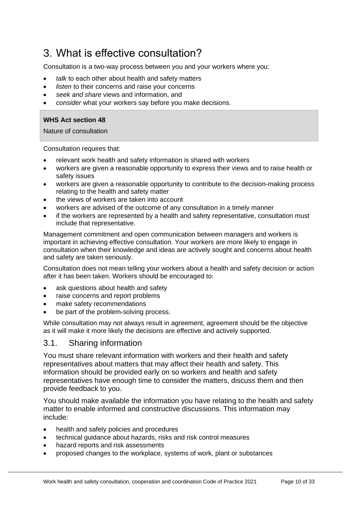# <span id="page-9-0"></span>3. What is effective consultation?

Consultation is a two-way process between you and your workers where you:

- *talk* to each other about health and safety matters
- *listen* to their concerns and raise your concerns
- *seek and share* views and information, and
- *consider* what your workers say before you make decisions.

#### **WHS Act section 48**

Nature of consultation

Consultation requires that:

- relevant work health and safety information is shared with workers
- workers are given a reasonable opportunity to express their views and to raise health or safety issues
- workers are given a reasonable opportunity to contribute to the decision-making process relating to the health and safety matter
- the views of workers are taken into account
- workers are advised of the outcome of any consultation in a timely manner
- if the workers are represented by a health and safety representative, consultation must include that representative.

Management commitment and open communication between managers and workers is important in achieving effective consultation. Your workers are more likely to engage in consultation when their knowledge and ideas are actively sought and concerns about health and safety are taken seriously.

Consultation does not mean telling your workers about a health and safety decision or action after it has been taken. Workers should be encouraged to:

- ask questions about health and safety
- raise concerns and report problems
- make safety recommendations
- be part of the problem-solving process.

While consultation may not always result in agreement, agreement should be the objective as it will make it more likely the decisions are effective and actively supported.

#### <span id="page-9-1"></span>3.1. Sharing information

You must share relevant information with workers and their health and safety representatives about matters that may affect their health and safety. This information should be provided early on so workers and health and safety representatives have enough time to consider the matters, discuss them and then provide feedback to you.

You should make available the information you have relating to the health and safety matter to enable informed and constructive discussions. This information may include:

- health and safety policies and procedures
- technical guidance about hazards, risks and risk control measures
- hazard reports and risk assessments
- proposed changes to the workplace, systems of work, plant or substances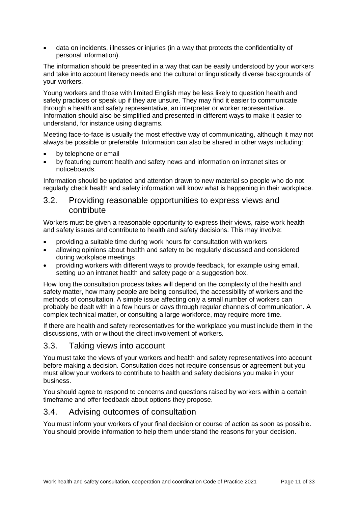• data on incidents, illnesses or injuries (in a way that protects the confidentiality of personal information).

The information should be presented in a way that can be easily understood by your workers and take into account literacy needs and the cultural or linguistically diverse backgrounds of your workers.

Young workers and those with limited English may be less likely to question health and safety practices or speak up if they are unsure. They may find it easier to communicate through a health and safety representative, an interpreter or worker representative. Information should also be simplified and presented in different ways to make it easier to understand, for instance using diagrams.

Meeting face-to-face is usually the most effective way of communicating, although it may not always be possible or preferable. Information can also be shared in other ways including:

- by telephone or email
- by featuring current health and safety news and information on intranet sites or noticeboards.

Information should be updated and attention drawn to new material so people who do not regularly check health and safety information will know what is happening in their workplace.

### <span id="page-10-0"></span>3.2. Providing reasonable opportunities to express views and contribute

Workers must be given a reasonable opportunity to express their views, raise work health and safety issues and contribute to health and safety decisions. This may involve:

- providing a suitable time during work hours for consultation with workers
- allowing opinions about health and safety to be regularly discussed and considered during workplace meetings
- providing workers with different ways to provide feedback, for example using email, setting up an intranet health and safety page or a suggestion box.

How long the consultation process takes will depend on the complexity of the health and safety matter, how many people are being consulted, the accessibility of workers and the methods of consultation. A simple issue affecting only a small number of workers can probably be dealt with in a few hours or days through regular channels of communication. A complex technical matter, or consulting a large workforce, may require more time.

If there are health and safety representatives for the workplace you must include them in the discussions, with or without the direct involvement of workers.

## <span id="page-10-1"></span>3.3. Taking views into account

You must take the views of your workers and health and safety representatives into account before making a decision. Consultation does not require consensus or agreement but you must allow your workers to contribute to health and safety decisions you make in your business.

You should agree to respond to concerns and questions raised by workers within a certain timeframe and offer feedback about options they propose.

## <span id="page-10-2"></span>3.4. Advising outcomes of consultation

You must inform your workers of your final decision or course of action as soon as possible. You should provide information to help them understand the reasons for your decision.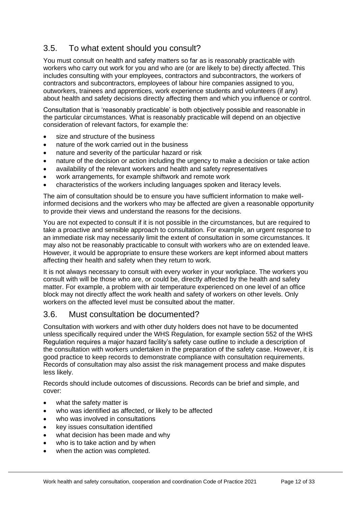## <span id="page-11-0"></span>3.5. To what extent should you consult?

You must consult on health and safety matters so far as is reasonably practicable with workers who carry out work for you and who are (or are likely to be) directly affected. This includes consulting with your employees, contractors and subcontractors, the workers of contractors and subcontractors, employees of labour hire companies assigned to you, outworkers, trainees and apprentices, work experience students and volunteers (if any) about health and safety decisions directly affecting them and which you influence or control.

Consultation that is 'reasonably practicable' is both objectively possible and reasonable in the particular circumstances. What is reasonably practicable will depend on an objective consideration of relevant factors, for example the:

- size and structure of the business
- nature of the work carried out in the business
- nature and severity of the particular hazard or risk
- nature of the decision or action including the urgency to make a decision or take action
- availability of the relevant workers and health and safety representatives
- work arrangements, for example shiftwork and remote work
- characteristics of the workers including languages spoken and literacy levels.

The aim of consultation should be to ensure you have sufficient information to make wellinformed decisions and the workers who may be affected are given a reasonable opportunity to provide their views and understand the reasons for the decisions.

You are not expected to consult if it is not possible in the circumstances, but are required to take a proactive and sensible approach to consultation. For example, an urgent response to an immediate risk may necessarily limit the extent of consultation in some circumstances. It may also not be reasonably practicable to consult with workers who are on extended leave. However, it would be appropriate to ensure these workers are kept informed about matters affecting their health and safety when they return to work.

It is not always necessary to consult with every worker in your workplace. The workers you consult with will be those who are, or could be, directly affected by the health and safety matter. For example, a problem with air temperature experienced on one level of an office block may not directly affect the work health and safety of workers on other levels. Only workers on the affected level must be consulted about the matter.

## <span id="page-11-1"></span>3.6. Must consultation be documented?

Consultation with workers and with other duty holders does not have to be documented unless specifically required under the WHS Regulation, for example section 552 of the WHS Regulation requires a major hazard facility's safety case outline to include a description of the consultation with workers undertaken in the preparation of the safety case. However, it is good practice to keep records to demonstrate compliance with consultation requirements. Records of consultation may also assist the risk management process and make disputes less likely.

Records should include outcomes of discussions. Records can be brief and simple, and cover:

- what the safety matter is
- who was identified as affected, or likely to be affected
- who was involved in consultations
- key issues consultation identified
- what decision has been made and why
- who is to take action and by when
- when the action was completed.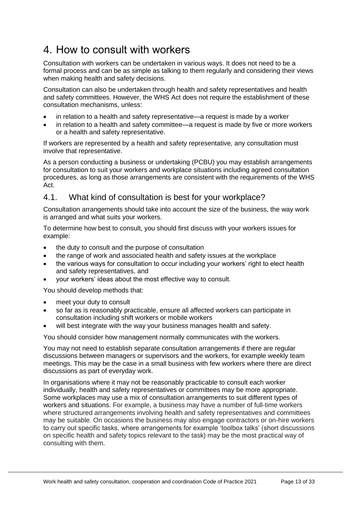# <span id="page-12-0"></span>4. How to consult with workers

Consultation with workers can be undertaken in various ways. It does not need to be a formal process and can be as simple as talking to them regularly and considering their views when making health and safety decisions.

Consultation can also be undertaken through health and safety representatives and health and safety committees. However, the WHS Act does not require the establishment of these consultation mechanisms, unless:

- in relation to a health and safety representative—a request is made by a worker
- in relation to a health and safety committee—a request is made by five or more workers or a health and safety representative.

If workers are represented by a health and safety representative, any consultation must involve that representative.

As a person conducting a business or undertaking (PCBU) you may establish arrangements for consultation to suit your workers and workplace situations including agreed consultation procedures, as long as those arrangements are consistent with the requirements of the WHS Act.

## <span id="page-12-1"></span>4.1. What kind of consultation is best for your workplace?

Consultation arrangements should take into account the size of the business, the way work is arranged and what suits your workers.

To determine how best to consult, you should first discuss with your workers issues for example:

- the duty to consult and the purpose of consultation
- the range of work and associated health and safety issues at the workplace
- the various ways for consultation to occur including your workers' right to elect health and safety representatives, and
- your workers' ideas about the most effective way to consult.

You should develop methods that:

- meet your duty to consult
- so far as is reasonably practicable, ensure all affected workers can participate in consultation including shift workers or mobile workers
- will best integrate with the way your business manages health and safety.

You should consider how management normally communicates with the workers.

You may not need to establish separate consultation arrangements if there are regular discussions between managers or supervisors and the workers, for example weekly team meetings. This may be the case in a small business with few workers where there are direct discussions as part of everyday work.

In organisations where it may not be reasonably practicable to consult each worker individually, health and safety representatives or committees may be more appropriate. Some workplaces may use a mix of consultation arrangements to suit different types of workers and situations. For example, a business may have a number of full-time workers where structured arrangements involving health and safety representatives and committees may be suitable. On occasions the business may also engage contractors or on-hire workers to carry out specific tasks, where arrangements for example 'toolbox talks' (short discussions on specific health and safety topics relevant to the task) may be the most practical way of consulting with them.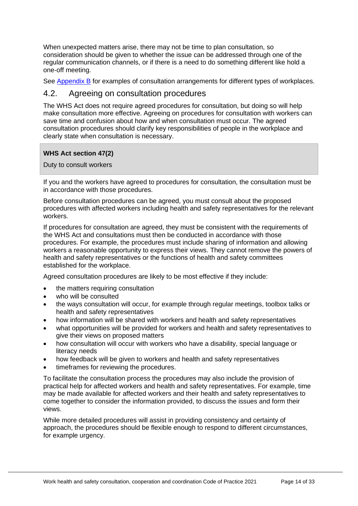When unexpected matters arise, there may not be time to plan consultation, so consideration should be given to whether the issue can be addressed through one of the regular communication channels, or if there is a need to do something different like hold a one-off meeting.

See [Appendix B](#page-23-0) for examples of consultation arrangements for different types of workplaces.

### <span id="page-13-0"></span>4.2. Agreeing on consultation procedures

The WHS Act does not require agreed procedures for consultation, but doing so will help make consultation more effective. Agreeing on procedures for consultation with workers can save time and confusion about how and when consultation must occur. The agreed consultation procedures should clarify key responsibilities of people in the workplace and clearly state when consultation is necessary.

#### **WHS Act section 47(2)**

Duty to consult workers

If you and the workers have agreed to procedures for consultation, the consultation must be in accordance with those procedures.

Before consultation procedures can be agreed, you must consult about the proposed procedures with affected workers including health and safety representatives for the relevant workers.

If procedures for consultation are agreed, they must be consistent with the requirements of the WHS Act and consultations must then be conducted in accordance with those procedures. For example, the procedures must include sharing of information and allowing workers a reasonable opportunity to express their views. They cannot remove the powers of health and safety representatives or the functions of health and safety committees established for the workplace.

Agreed consultation procedures are likely to be most effective if they include:

- the matters requiring consultation
- who will be consulted
- the ways consultation will occur, for example through regular meetings, toolbox talks or health and safety representatives
- how information will be shared with workers and health and safety representatives
- what opportunities will be provided for workers and health and safety representatives to give their views on proposed matters
- how consultation will occur with workers who have a disability, special language or literacy needs
- how feedback will be given to workers and health and safety representatives
- timeframes for reviewing the procedures.

To facilitate the consultation process the procedures may also include the provision of practical help for affected workers and health and safety representatives. For example, time may be made available for affected workers and their health and safety representatives to come together to consider the information provided, to discuss the issues and form their views.

While more detailed procedures will assist in providing consistency and certainty of approach, the procedures should be flexible enough to respond to different circumstances, for example urgency.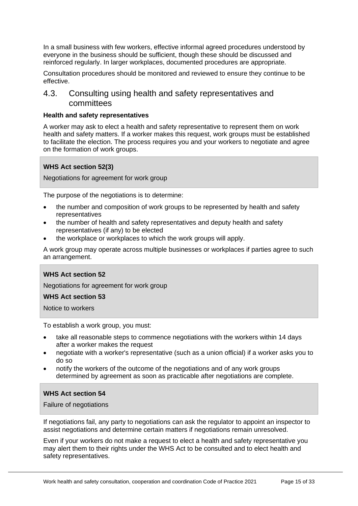In a small business with few workers, effective informal agreed procedures understood by everyone in the business should be sufficient, though these should be discussed and reinforced regularly. In larger workplaces, documented procedures are appropriate.

Consultation procedures should be monitored and reviewed to ensure they continue to be effective.

## <span id="page-14-0"></span>4.3. Consulting using health and safety representatives and committees

#### **Health and safety representatives**

A worker may ask to elect a health and safety representative to represent them on work health and safety matters. If a worker makes this request, work groups must be established to facilitate the election. The process requires you and your workers to negotiate and agree on the formation of work groups.

#### **WHS Act section 52(3)**

Negotiations for agreement for work group

The purpose of the negotiations is to determine:

- the number and composition of work groups to be represented by health and safety representatives
- the number of health and safety representatives and deputy health and safety representatives (if any) to be elected
- the workplace or workplaces to which the work groups will apply.

A work group may operate across multiple businesses or workplaces if parties agree to such an arrangement.

#### **WHS Act section 52**

Negotiations for agreement for work group

#### **WHS Act section 53**

Notice to workers

To establish a work group, you must:

- take all reasonable steps to commence negotiations with the workers within 14 days after a worker makes the request
- negotiate with a worker's representative (such as a union official) if a worker asks you to do so
- notify the workers of the outcome of the negotiations and of any work groups determined by agreement as soon as practicable after negotiations are complete.

#### **WHS Act section 54**

Failure of negotiations

If negotiations fail, any party to negotiations can ask the regulator to appoint an inspector to assist negotiations and determine certain matters if negotiations remain unresolved.

Even if your workers do not make a request to elect a health and safety representative you may alert them to their rights under the WHS Act to be consulted and to elect health and safety representatives.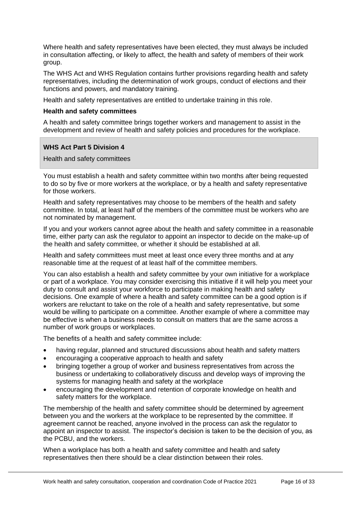Where health and safety representatives have been elected, they must always be included in consultation affecting, or likely to affect, the health and safety of members of their work group.

The WHS Act and WHS Regulation contains further provisions regarding health and safety representatives, including the determination of work groups, conduct of elections and their functions and powers, and mandatory training.

Health and safety representatives are entitled to undertake training in this role.

#### **Health and safety committees**

A health and safety committee brings together workers and management to assist in the development and review of health and safety policies and procedures for the workplace.

#### **WHS Act Part 5 Division 4**

Health and safety committees

You must establish a health and safety committee within two months after being requested to do so by five or more workers at the workplace, or by a health and safety representative for those workers.

Health and safety representatives may choose to be members of the health and safety committee. In total, at least half of the members of the committee must be workers who are not nominated by management.

If you and your workers cannot agree about the health and safety committee in a reasonable time, either party can ask the regulator to appoint an inspector to decide on the make-up of the health and safety committee, or whether it should be established at all.

Health and safety committees must meet at least once every three months and at any reasonable time at the request of at least half of the committee members.

You can also establish a health and safety committee by your own initiative for a workplace or part of a workplace. You may consider exercising this initiative if it will help you meet your duty to consult and assist your workforce to participate in making health and safety decisions. One example of where a health and safety committee can be a good option is if workers are reluctant to take on the role of a health and safety representative, but some would be willing to participate on a committee. Another example of where a committee may be effective is when a business needs to consult on matters that are the same across a number of work groups or workplaces.

The benefits of a health and safety committee include:

- having regular, planned and structured discussions about health and safety matters
- encouraging a cooperative approach to health and safety
- bringing together a group of worker and business representatives from across the business or undertaking to collaboratively discuss and develop ways of improving the systems for managing health and safety at the workplace
- encouraging the development and retention of corporate knowledge on health and safety matters for the workplace.

The membership of the health and safety committee should be determined by agreement between you and the workers at the workplace to be represented by the committee. If agreement cannot be reached, anyone involved in the process can ask the regulator to appoint an inspector to assist. The inspector's decision is taken to be the decision of you, as the PCBU, and the workers.

When a workplace has both a health and safety committee and health and safety representatives then there should be a clear distinction between their roles.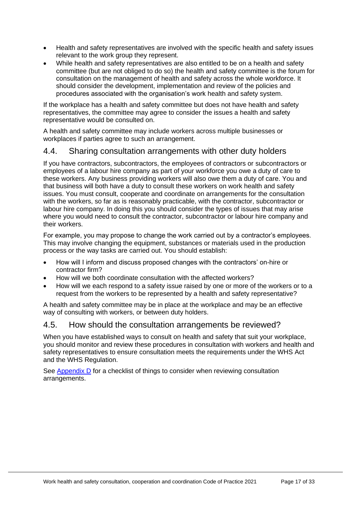- Health and safety representatives are involved with the specific health and safety issues relevant to the work group they represent.
- While health and safety representatives are also entitled to be on a health and safety committee (but are not obliged to do so) the health and safety committee is the forum for consultation on the management of health and safety across the whole workforce. It should consider the development, implementation and review of the policies and procedures associated with the organisation's work health and safety system.

If the workplace has a health and safety committee but does not have health and safety representatives, the committee may agree to consider the issues a health and safety representative would be consulted on.

A health and safety committee may include workers across multiple businesses or workplaces if parties agree to such an arrangement.

## <span id="page-16-0"></span>4.4. Sharing consultation arrangements with other duty holders

If you have contractors, subcontractors, the employees of contractors or subcontractors or employees of a labour hire company as part of your workforce you owe a duty of care to these workers. Any business providing workers will also owe them a duty of care. You and that business will both have a duty to consult these workers on work health and safety issues. You must consult, cooperate and coordinate on arrangements for the consultation with the workers, so far as is reasonably practicable, with the contractor, subcontractor or labour hire company. In doing this you should consider the types of issues that may arise where you would need to consult the contractor, subcontractor or labour hire company and their workers.

For example, you may propose to change the work carried out by a contractor's employees. This may involve changing the equipment, substances or materials used in the production process or the way tasks are carried out. You should establish:

- How will I inform and discuss proposed changes with the contractors' on-hire or contractor firm?
- How will we both coordinate consultation with the affected workers?
- How will we each respond to a safety issue raised by one or more of the workers or to a request from the workers to be represented by a health and safety representative?

A health and safety committee may be in place at the workplace and may be an effective way of consulting with workers, or between duty holders.

## <span id="page-16-1"></span>4.5. How should the consultation arrangements be reviewed?

When you have established ways to consult on health and safety that suit your workplace, you should monitor and review these procedures in consultation with workers and health and safety representatives to ensure consultation meets the requirements under the WHS Act and the WHS Regulation.

See [Appendix D](#page-28-0) for a checklist of things to consider when reviewing consultation arrangements.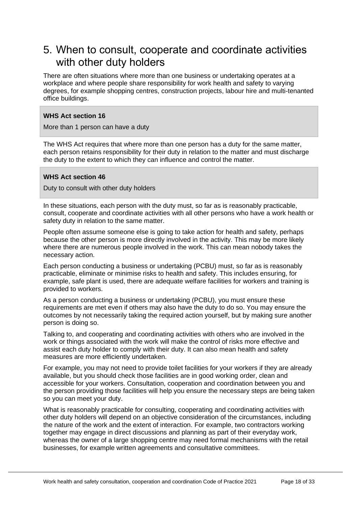## <span id="page-17-0"></span>5. When to consult, cooperate and coordinate activities with other duty holders

There are often situations where more than one business or undertaking operates at a workplace and where people share responsibility for work health and safety to varying degrees, for example shopping centres, construction projects, labour hire and multi-tenanted office buildings.

#### **WHS Act section 16**

More than 1 person can have a duty

The WHS Act requires that where more than one person has a duty for the same matter, each person retains responsibility for their duty in relation to the matter and must discharge the duty to the extent to which they can influence and control the matter.

#### **WHS Act section 46**

Duty to consult with other duty holders

In these situations, each person with the duty must, so far as is reasonably practicable, consult, cooperate and coordinate activities with all other persons who have a work health or safety duty in relation to the same matter.

People often assume someone else is going to take action for health and safety, perhaps because the other person is more directly involved in the activity. This may be more likely where there are numerous people involved in the work. This can mean nobody takes the necessary action.

Each person conducting a business or undertaking (PCBU) must, so far as is reasonably practicable, eliminate or minimise risks to health and safety. This includes ensuring, for example, safe plant is used, there are adequate welfare facilities for workers and training is provided to workers.

As a person conducting a business or undertaking (PCBU), you must ensure these requirements are met even if others may also have the duty to do so. You may ensure the outcomes by not necessarily taking the required action yourself, but by making sure another person is doing so.

Talking to, and cooperating and coordinating activities with others who are involved in the work or things associated with the work will make the control of risks more effective and assist each duty holder to comply with their duty. It can also mean health and safety measures are more efficiently undertaken.

For example, you may not need to provide toilet facilities for your workers if they are already available, but you should check those facilities are in good working order, clean and accessible for your workers. Consultation, cooperation and coordination between you and the person providing those facilities will help you ensure the necessary steps are being taken so you can meet your duty.

What is reasonably practicable for consulting, cooperating and coordinating activities with other duty holders will depend on an objective consideration of the circumstances, including the nature of the work and the extent of interaction. For example, two contractors working together may engage in direct discussions and planning as part of their everyday work, whereas the owner of a large shopping centre may need formal mechanisms with the retail businesses, for example written agreements and consultative committees.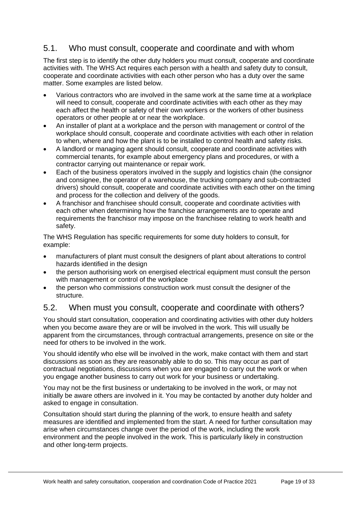## <span id="page-18-0"></span>5.1. Who must consult, cooperate and coordinate and with whom

The first step is to identify the other duty holders you must consult, cooperate and coordinate activities with. The WHS Act requires each person with a health and safety duty to consult, cooperate and coordinate activities with each other person who has a duty over the same matter. Some examples are listed below.

- Various contractors who are involved in the same work at the same time at a workplace will need to consult, cooperate and coordinate activities with each other as they may each affect the health or safety of their own workers or the workers of other business operators or other people at or near the workplace.
- An installer of plant at a workplace and the person with management or control of the workplace should consult, cooperate and coordinate activities with each other in relation to when, where and how the plant is to be installed to control health and safety risks.
- A landlord or managing agent should consult, cooperate and coordinate activities with commercial tenants, for example about emergency plans and procedures, or with a contractor carrying out maintenance or repair work.
- Each of the business operators involved in the supply and logistics chain (the consignor and consignee, the operator of a warehouse, the trucking company and sub-contracted drivers) should consult, cooperate and coordinate activities with each other on the timing and process for the collection and delivery of the goods.
- A franchisor and franchisee should consult, cooperate and coordinate activities with each other when determining how the franchise arrangements are to operate and requirements the franchisor may impose on the franchisee relating to work health and safety.

The WHS Regulation has specific requirements for some duty holders to consult, for example:

- manufacturers of plant must consult the designers of plant about alterations to control hazards identified in the design
- the person authorising work on energised electrical equipment must consult the person with management or control of the workplace
- the person who commissions construction work must consult the designer of the structure.

## <span id="page-18-1"></span>5.2. When must you consult, cooperate and coordinate with others?

You should start consultation, cooperation and coordinating activities with other duty holders when you become aware they are or will be involved in the work. This will usually be apparent from the circumstances, through contractual arrangements, presence on site or the need for others to be involved in the work.

You should identify who else will be involved in the work, make contact with them and start discussions as soon as they are reasonably able to do so. This may occur as part of contractual negotiations, discussions when you are engaged to carry out the work or when you engage another business to carry out work for your business or undertaking.

You may not be the first business or undertaking to be involved in the work, or may not initially be aware others are involved in it. You may be contacted by another duty holder and asked to engage in consultation.

Consultation should start during the planning of the work, to ensure health and safety measures are identified and implemented from the start. A need for further consultation may arise when circumstances change over the period of the work, including the work environment and the people involved in the work. This is particularly likely in construction and other long-term projects.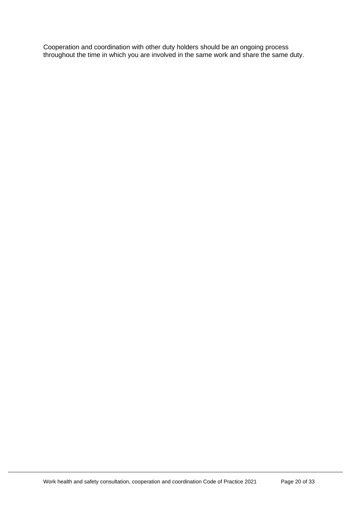Cooperation and coordination with other duty holders should be an ongoing process throughout the time in which you are involved in the same work and share the same duty.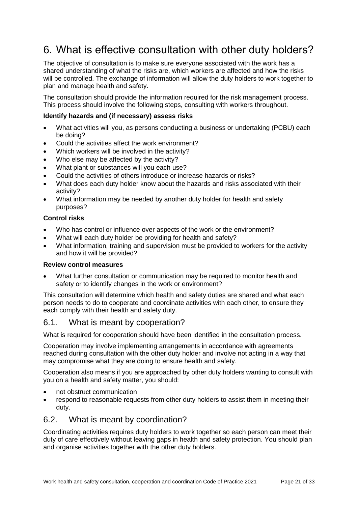# <span id="page-20-0"></span>6. What is effective consultation with other duty holders?

The objective of consultation is to make sure everyone associated with the work has a shared understanding of what the risks are, which workers are affected and how the risks will be controlled. The exchange of information will allow the duty holders to work together to plan and manage health and safety.

The consultation should provide the information required for the risk management process. This process should involve the following steps, consulting with workers throughout.

#### **Identify hazards and (if necessary) assess risks**

- What activities will you, as persons conducting a business or undertaking (PCBU) each be doing?
- Could the activities affect the work environment?
- Which workers will be involved in the activity?
- Who else may be affected by the activity?
- What plant or substances will you each use?
- Could the activities of others introduce or increase hazards or risks?
- What does each duty holder know about the hazards and risks associated with their activity?
- What information may be needed by another duty holder for health and safety purposes?

#### **Control risks**

- Who has control or influence over aspects of the work or the environment?
- What will each duty holder be providing for health and safety?
- What information, training and supervision must be provided to workers for the activity and how it will be provided?

#### **Review control measures**

• What further consultation or communication may be required to monitor health and safety or to identify changes in the work or environment?

This consultation will determine which health and safety duties are shared and what each person needs to do to cooperate and coordinate activities with each other, to ensure they each comply with their health and safety duty.

## <span id="page-20-1"></span>6.1. What is meant by cooperation?

What is required for cooperation should have been identified in the consultation process.

Cooperation may involve implementing arrangements in accordance with agreements reached during consultation with the other duty holder and involve not acting in a way that may compromise what they are doing to ensure health and safety.

Cooperation also means if you are approached by other duty holders wanting to consult with you on a health and safety matter, you should:

- not obstruct communication
- respond to reasonable requests from other duty holders to assist them in meeting their duty.

### <span id="page-20-2"></span>6.2. What is meant by coordination?

Coordinating activities requires duty holders to work together so each person can meet their duty of care effectively without leaving gaps in health and safety protection. You should plan and organise activities together with the other duty holders.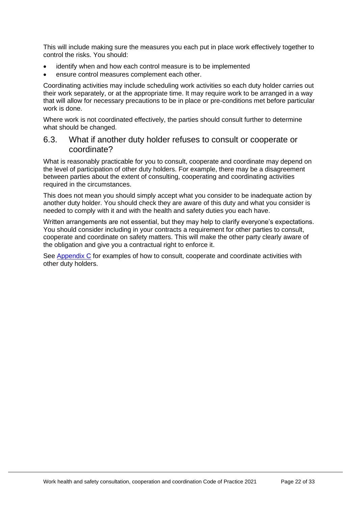This will include making sure the measures you each put in place work effectively together to control the risks. You should:

- identify when and how each control measure is to be implemented
- ensure control measures complement each other.

Coordinating activities may include scheduling work activities so each duty holder carries out their work separately, or at the appropriate time. It may require work to be arranged in a way that will allow for necessary precautions to be in place or pre-conditions met before particular work is done.

Where work is not coordinated effectively, the parties should consult further to determine what should be changed.

### <span id="page-21-0"></span>6.3. What if another duty holder refuses to consult or cooperate or coordinate?

What is reasonably practicable for you to consult, cooperate and coordinate may depend on the level of participation of other duty holders. For example, there may be a disagreement between parties about the extent of consulting, cooperating and coordinating activities required in the circumstances.

This does not mean you should simply accept what you consider to be inadequate action by another duty holder. You should check they are aware of this duty and what you consider is needed to comply with it and with the health and safety duties you each have.

Written arrangements are not essential, but they may help to clarify everyone's expectations. You should consider including in your contracts a requirement for other parties to consult, cooperate and coordinate on safety matters. This will make the other party clearly aware of the obligation and give you a contractual right to enforce it.

See [Appendix C](#page-25-0) for examples of how to consult, cooperate and coordinate activities with other duty holders.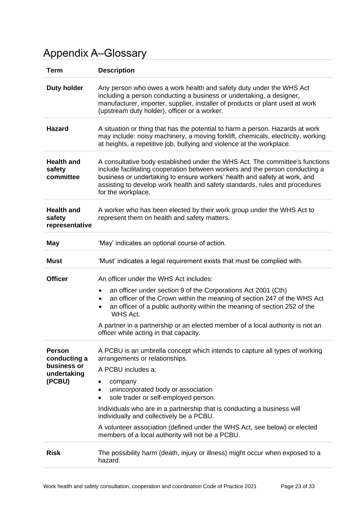# <span id="page-22-0"></span>Appendix A–Glossary

| <b>Term</b>                                   | <b>Description</b>                                                                                                                                                                                                                                                                                                                             |  |  |
|-----------------------------------------------|------------------------------------------------------------------------------------------------------------------------------------------------------------------------------------------------------------------------------------------------------------------------------------------------------------------------------------------------|--|--|
| <b>Duty holder</b>                            | Any person who owes a work health and safety duty under the WHS Act<br>including a person conducting a business or undertaking, a designer,<br>manufacturer, importer, supplier, installer of products or plant used at work<br>(upstream duty holder), officer or a worker.                                                                   |  |  |
| <b>Hazard</b>                                 | A situation or thing that has the potential to harm a person. Hazards at work<br>may include: noisy machinery, a moving forklift, chemicals, electricity, working<br>at heights, a repetitive job, bullying and violence at the workplace.                                                                                                     |  |  |
| <b>Health and</b><br>safety<br>committee      | A consultative body established under the WHS Act. The committee's functions<br>include facilitating cooperation between workers and the person conducting a<br>business or undertaking to ensure workers' health and safety at work, and<br>assisting to develop work health and safety standards, rules and procedures<br>for the workplace. |  |  |
| <b>Health and</b><br>safety<br>representative | A worker who has been elected by their work group under the WHS Act to<br>represent them on health and safety matters.                                                                                                                                                                                                                         |  |  |
| May                                           | 'May' indicates an optional course of action.                                                                                                                                                                                                                                                                                                  |  |  |
| <b>Must</b>                                   | 'Must' indicates a legal requirement exists that must be complied with.                                                                                                                                                                                                                                                                        |  |  |
| <b>Officer</b>                                | An officer under the WHS Act includes:                                                                                                                                                                                                                                                                                                         |  |  |
|                                               | an officer under section 9 of the Corporations Act 2001 (Cth)<br>٠<br>an officer of the Crown within the meaning of section 247 of the WHS Act<br>٠<br>an officer of a public authority within the meaning of section 252 of the<br>٠<br>WHS Act.                                                                                              |  |  |
|                                               | A partner in a partnership or an elected member of a local authority is not an<br>officer while acting in that capacity.                                                                                                                                                                                                                       |  |  |
| <b>Person</b><br>conducting a<br>business or  | A PCBU is an umbrella concept which intends to capture all types of working<br>arrangements or relationships.                                                                                                                                                                                                                                  |  |  |
| undertaking                                   | A PCBU includes a:                                                                                                                                                                                                                                                                                                                             |  |  |
| (PCBU)                                        | company<br>unincorporated body or association<br>sole trader or self-employed person.<br>$\bullet$                                                                                                                                                                                                                                             |  |  |
|                                               | Individuals who are in a partnership that is conducting a business will<br>individually and collectively be a PCBU.                                                                                                                                                                                                                            |  |  |
|                                               | A volunteer association (defined under the WHS Act, see below) or elected<br>members of a local authority will not be a PCBU.                                                                                                                                                                                                                  |  |  |
| <b>Risk</b>                                   | The possibility harm (death, injury or illness) might occur when exposed to a<br>hazard.                                                                                                                                                                                                                                                       |  |  |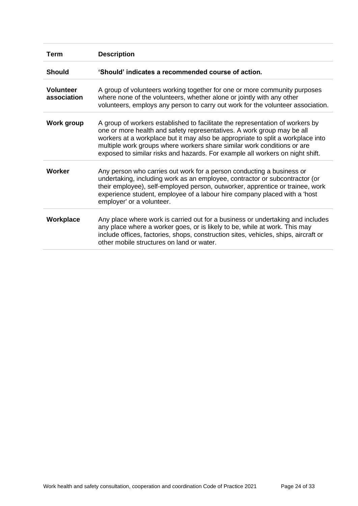<span id="page-23-0"></span>

| Term                            | <b>Description</b>                                                                                                                                                                                                                                                                                                                                                                                     |
|---------------------------------|--------------------------------------------------------------------------------------------------------------------------------------------------------------------------------------------------------------------------------------------------------------------------------------------------------------------------------------------------------------------------------------------------------|
| <b>Should</b>                   | 'Should' indicates a recommended course of action.                                                                                                                                                                                                                                                                                                                                                     |
| <b>Volunteer</b><br>association | A group of volunteers working together for one or more community purposes<br>where none of the volunteers, whether alone or jointly with any other<br>volunteers, employs any person to carry out work for the volunteer association.                                                                                                                                                                  |
| Work group                      | A group of workers established to facilitate the representation of workers by<br>one or more health and safety representatives. A work group may be all<br>workers at a workplace but it may also be appropriate to split a workplace into<br>multiple work groups where workers share similar work conditions or are<br>exposed to similar risks and hazards. For example all workers on night shift. |
| <b>Worker</b>                   | Any person who carries out work for a person conducting a business or<br>undertaking, including work as an employee, contractor or subcontractor (or<br>their employee), self-employed person, outworker, apprentice or trainee, work<br>experience student, employee of a labour hire company placed with a 'host<br>employer' or a volunteer.                                                        |
| Workplace                       | Any place where work is carried out for a business or undertaking and includes<br>any place where a worker goes, or is likely to be, while at work. This may<br>include offices, factories, shops, construction sites, vehicles, ships, aircraft or<br>other mobile structures on land or water.                                                                                                       |
|                                 |                                                                                                                                                                                                                                                                                                                                                                                                        |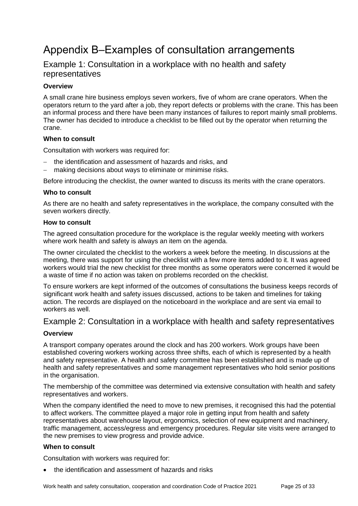# <span id="page-24-0"></span>Appendix B–Examples of consultation arrangements

## <span id="page-24-1"></span>Example 1: Consultation in a workplace with no health and safety representatives

#### **Overview**

A small crane hire business employs seven workers, five of whom are crane operators. When the operators return to the yard after a job, they report defects or problems with the crane. This has been an informal process and there have been many instances of failures to report mainly small problems. The owner has decided to introduce a checklist to be filled out by the operator when returning the crane.

#### **When to consult**

Consultation with workers was required for:

- the identification and assessment of hazards and risks, and
- making decisions about ways to eliminate or minimise risks.

Before introducing the checklist, the owner wanted to discuss its merits with the crane operators.

#### **Who to consult**

As there are no health and safety representatives in the workplace, the company consulted with the seven workers directly.

#### **How to consult**

The agreed consultation procedure for the workplace is the regular weekly meeting with workers where work health and safety is always an item on the agenda.

The owner circulated the checklist to the workers a week before the meeting. In discussions at the meeting, there was support for using the checklist with a few more items added to it. It was agreed workers would trial the new checklist for three months as some operators were concerned it would be a waste of time if no action was taken on problems recorded on the checklist.

To ensure workers are kept informed of the outcomes of consultations the business keeps records of significant work health and safety issues discussed, actions to be taken and timelines for taking action. The records are displayed on the noticeboard in the workplace and are sent via email to workers as well

## <span id="page-24-2"></span>Example 2: Consultation in a workplace with health and safety representatives

#### **Overview**

A transport company operates around the clock and has 200 workers. Work groups have been established covering workers working across three shifts, each of which is represented by a health and safety representative. A health and safety committee has been established and is made up of health and safety representatives and some management representatives who hold senior positions in the organisation.

The membership of the committee was determined via extensive consultation with health and safety representatives and workers.

When the company identified the need to move to new premises, it recognised this had the potential to affect workers. The committee played a major role in getting input from health and safety representatives about warehouse layout, ergonomics, selection of new equipment and machinery, traffic management, access/egress and emergency procedures. Regular site visits were arranged to the new premises to view progress and provide advice.

#### **When to consult**

Consultation with workers was required for:

• the identification and assessment of hazards and risks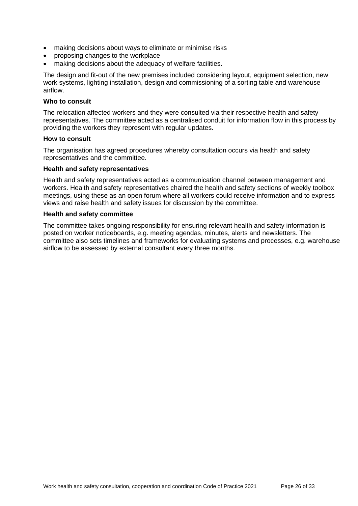- making decisions about ways to eliminate or minimise risks
- proposing changes to the workplace
- making decisions about the adequacy of welfare facilities.

The design and fit-out of the new premises included considering layout, equipment selection, new work systems, lighting installation, design and commissioning of a sorting table and warehouse airflow.

#### **Who to consult**

The relocation affected workers and they were consulted via their respective health and safety representatives. The committee acted as a centralised conduit for information flow in this process by providing the workers they represent with regular updates.

#### **How to consult**

The organisation has agreed procedures whereby consultation occurs via health and safety representatives and the committee.

#### **Health and safety representatives**

Health and safety representatives acted as a communication channel between management and workers. Health and safety representatives chaired the health and safety sections of weekly toolbox meetings, using these as an open forum where all workers could receive information and to express views and raise health and safety issues for discussion by the committee.

#### **Health and safety committee**

<span id="page-25-0"></span>The committee takes ongoing responsibility for ensuring relevant health and safety information is posted on worker noticeboards, e.g. meeting agendas, minutes, alerts and newsletters. The committee also sets timelines and frameworks for evaluating systems and processes, e.g. warehouse airflow to be assessed by external consultant every three months.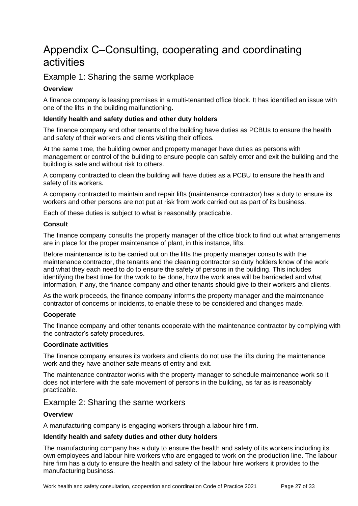## <span id="page-26-0"></span>Appendix C–Consulting, cooperating and coordinating activities

## <span id="page-26-1"></span>Example 1: Sharing the same workplace

#### **Overview**

A finance company is leasing premises in a multi-tenanted office block. It has identified an issue with one of the lifts in the building malfunctioning.

#### **Identify health and safety duties and other duty holders**

The finance company and other tenants of the building have duties as PCBUs to ensure the health and safety of their workers and clients visiting their offices.

At the same time, the building owner and property manager have duties as persons with management or control of the building to ensure people can safely enter and exit the building and the building is safe and without risk to others.

A company contracted to clean the building will have duties as a PCBU to ensure the health and safety of its workers.

A company contracted to maintain and repair lifts (maintenance contractor) has a duty to ensure its workers and other persons are not put at risk from work carried out as part of its business.

Each of these duties is subject to what is reasonably practicable.

#### **Consult**

The finance company consults the property manager of the office block to find out what arrangements are in place for the proper maintenance of plant, in this instance, lifts.

Before maintenance is to be carried out on the lifts the property manager consults with the maintenance contractor, the tenants and the cleaning contractor so duty holders know of the work and what they each need to do to ensure the safety of persons in the building. This includes identifying the best time for the work to be done, how the work area will be barricaded and what information, if any, the finance company and other tenants should give to their workers and clients.

As the work proceeds, the finance company informs the property manager and the maintenance contractor of concerns or incidents, to enable these to be considered and changes made.

#### **Cooperate**

The finance company and other tenants cooperate with the maintenance contractor by complying with the contractor's safety procedures.

#### **Coordinate activities**

The finance company ensures its workers and clients do not use the lifts during the maintenance work and they have another safe means of entry and exit.

The maintenance contractor works with the property manager to schedule maintenance work so it does not interfere with the safe movement of persons in the building, as far as is reasonably practicable.

#### <span id="page-26-2"></span>Example 2: Sharing the same workers

#### **Overview**

A manufacturing company is engaging workers through a labour hire firm.

#### **Identify health and safety duties and other duty holders**

The manufacturing company has a duty to ensure the health and safety of its workers including its own employees and labour hire workers who are engaged to work on the production line. The labour hire firm has a duty to ensure the health and safety of the labour hire workers it provides to the manufacturing business.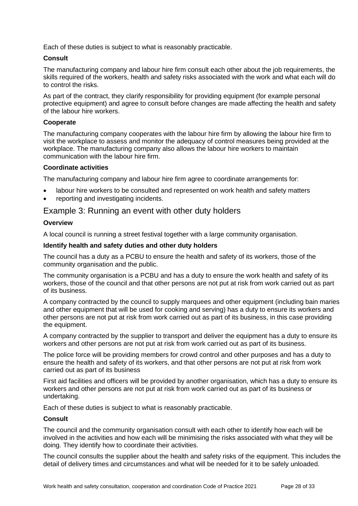Each of these duties is subject to what is reasonably practicable.

#### **Consult**

The manufacturing company and labour hire firm consult each other about the job requirements, the skills required of the workers, health and safety risks associated with the work and what each will do to control the risks.

As part of the contract, they clarify responsibility for providing equipment (for example personal protective equipment) and agree to consult before changes are made affecting the health and safety of the labour hire workers.

#### **Cooperate**

The manufacturing company cooperates with the labour hire firm by allowing the labour hire firm to visit the workplace to assess and monitor the adequacy of control measures being provided at the workplace. The manufacturing company also allows the labour hire workers to maintain communication with the labour hire firm.

#### **Coordinate activities**

The manufacturing company and labour hire firm agree to coordinate arrangements for:

- labour hire workers to be consulted and represented on work health and safety matters
- reporting and investigating incidents.

#### <span id="page-27-0"></span>Example 3: Running an event with other duty holders

#### **Overview**

A local council is running a street festival together with a large community organisation.

#### **Identify health and safety duties and other duty holders**

The council has a duty as a PCBU to ensure the health and safety of its workers, those of the community organisation and the public.

The community organisation is a PCBU and has a duty to ensure the work health and safety of its workers, those of the council and that other persons are not put at risk from work carried out as part of its business.

A company contracted by the council to supply marquees and other equipment (including bain maries and other equipment that will be used for cooking and serving) has a duty to ensure its workers and other persons are not put at risk from work carried out as part of its business, in this case providing the equipment.

A company contracted by the supplier to transport and deliver the equipment has a duty to ensure its workers and other persons are not put at risk from work carried out as part of its business.

The police force will be providing members for crowd control and other purposes and has a duty to ensure the health and safety of its workers, and that other persons are not put at risk from work carried out as part of its business

First aid facilities and officers will be provided by another organisation, which has a duty to ensure its workers and other persons are not put at risk from work carried out as part of its business or undertaking.

Each of these duties is subject to what is reasonably practicable.

#### **Consult**

The council and the community organisation consult with each other to identify how each will be involved in the activities and how each will be minimising the risks associated with what they will be doing. They identify how to coordinate their activities.

The council consults the supplier about the health and safety risks of the equipment. This includes the detail of delivery times and circumstances and what will be needed for it to be safely unloaded.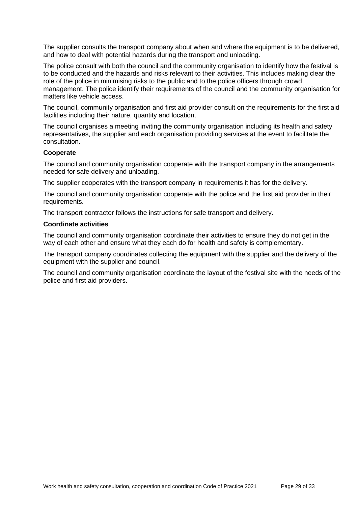The supplier consults the transport company about when and where the equipment is to be delivered, and how to deal with potential hazards during the transport and unloading.

The police consult with both the council and the community organisation to identify how the festival is to be conducted and the hazards and risks relevant to their activities. This includes making clear the role of the police in minimising risks to the public and to the police officers through crowd management. The police identify their requirements of the council and the community organisation for matters like vehicle access.

The council, community organisation and first aid provider consult on the requirements for the first aid facilities including their nature, quantity and location.

The council organises a meeting inviting the community organisation including its health and safety representatives, the supplier and each organisation providing services at the event to facilitate the consultation.

#### **Cooperate**

The council and community organisation cooperate with the transport company in the arrangements needed for safe delivery and unloading.

The supplier cooperates with the transport company in requirements it has for the delivery.

The council and community organisation cooperate with the police and the first aid provider in their requirements.

The transport contractor follows the instructions for safe transport and delivery.

#### **Coordinate activities**

The council and community organisation coordinate their activities to ensure they do not get in the way of each other and ensure what they each do for health and safety is complementary.

The transport company coordinates collecting the equipment with the supplier and the delivery of the equipment with the supplier and council.

<span id="page-28-0"></span>The council and community organisation coordinate the layout of the festival site with the needs of the police and first aid providers.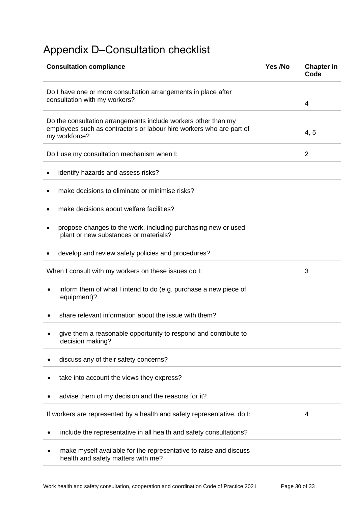# <span id="page-29-0"></span>Appendix D–Consultation checklist

| <b>Consultation compliance</b>                                                                                                                          | Yes /No | <b>Chapter in</b><br>Code |
|---------------------------------------------------------------------------------------------------------------------------------------------------------|---------|---------------------------|
| Do I have one or more consultation arrangements in place after<br>consultation with my workers?                                                         |         | 4                         |
| Do the consultation arrangements include workers other than my<br>employees such as contractors or labour hire workers who are part of<br>my workforce? |         | 4, 5                      |
| Do I use my consultation mechanism when I:                                                                                                              |         | $\overline{2}$            |
| identify hazards and assess risks?                                                                                                                      |         |                           |
| make decisions to eliminate or minimise risks?                                                                                                          |         |                           |
| make decisions about welfare facilities?                                                                                                                |         |                           |
| propose changes to the work, including purchasing new or used<br>plant or new substances or materials?                                                  |         |                           |
| develop and review safety policies and procedures?                                                                                                      |         |                           |
| When I consult with my workers on these issues do I:                                                                                                    |         | 3                         |
| inform them of what I intend to do (e.g. purchase a new piece of<br>equipment)?                                                                         |         |                           |
| share relevant information about the issue with them?                                                                                                   |         |                           |
| give them a reasonable opportunity to respond and contribute to<br>decision making?                                                                     |         |                           |
| discuss any of their safety concerns?                                                                                                                   |         |                           |
| take into account the views they express?                                                                                                               |         |                           |
| advise them of my decision and the reasons for it?                                                                                                      |         |                           |
| If workers are represented by a health and safety representative, do I:                                                                                 |         | 4                         |
| include the representative in all health and safety consultations?                                                                                      |         |                           |
| make myself available for the representative to raise and discuss<br>health and safety matters with me?                                                 |         |                           |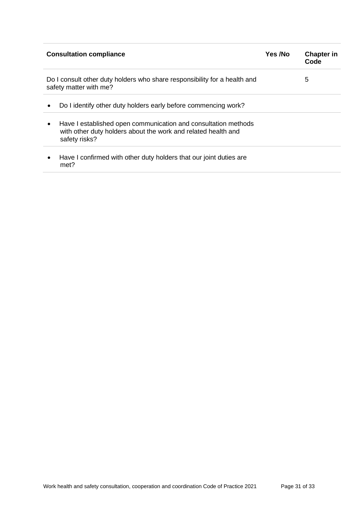<span id="page-30-0"></span>

| <b>Consultation compliance</b>                                                                           |                                                                                                                                                  |  | <b>Chapter in</b><br>Code |
|----------------------------------------------------------------------------------------------------------|--------------------------------------------------------------------------------------------------------------------------------------------------|--|---------------------------|
| Do I consult other duty holders who share responsibility for a health and<br>5<br>safety matter with me? |                                                                                                                                                  |  |                           |
| ٠                                                                                                        | Do I identify other duty holders early before commencing work?                                                                                   |  |                           |
| $\bullet$                                                                                                | Have I established open communication and consultation methods<br>with other duty holders about the work and related health and<br>safety risks? |  |                           |
| ٠                                                                                                        | Have I confirmed with other duty holders that our joint duties are<br>met?                                                                       |  |                           |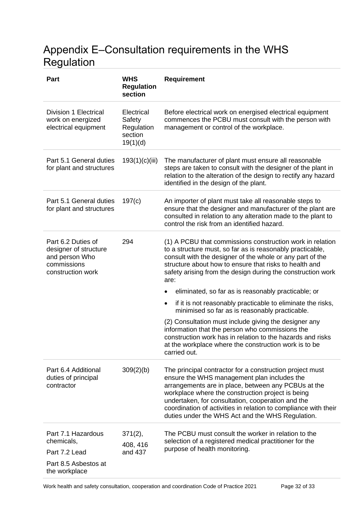# <span id="page-31-0"></span>Appendix E–Consultation requirements in the WHS Regulation

| <b>Part</b>                                                                                       | <b>WHS</b><br><b>Regulation</b><br>section                | <b>Requirement</b>                                                                                                                                                                                                                                                                                                                                                                              |  |
|---------------------------------------------------------------------------------------------------|-----------------------------------------------------------|-------------------------------------------------------------------------------------------------------------------------------------------------------------------------------------------------------------------------------------------------------------------------------------------------------------------------------------------------------------------------------------------------|--|
| <b>Division 1 Electrical</b><br>work on energized<br>electrical equipment                         | Electrical<br>Safety<br>Regulation<br>section<br>19(1)(d) | Before electrical work on energised electrical equipment<br>commences the PCBU must consult with the person with<br>management or control of the workplace.                                                                                                                                                                                                                                     |  |
| Part 5.1 General duties<br>for plant and structures                                               | 193(1)(c)(iii)                                            | The manufacturer of plant must ensure all reasonable<br>steps are taken to consult with the designer of the plant in<br>relation to the alteration of the design to rectify any hazard<br>identified in the design of the plant.                                                                                                                                                                |  |
| Part 5.1 General duties<br>for plant and structures                                               | 197(c)                                                    | An importer of plant must take all reasonable steps to<br>ensure that the designer and manufacturer of the plant are<br>consulted in relation to any alteration made to the plant to<br>control the risk from an identified hazard.                                                                                                                                                             |  |
| Part 6.2 Duties of<br>designer of structure<br>and person Who<br>commissions<br>construction work | 294                                                       | (1) A PCBU that commissions construction work in relation<br>to a structure must, so far as is reasonably practicable,<br>consult with the designer of the whole or any part of the<br>structure about how to ensure that risks to health and<br>safety arising from the design during the construction work<br>are:                                                                            |  |
|                                                                                                   |                                                           | eliminated, so far as is reasonably practicable; or                                                                                                                                                                                                                                                                                                                                             |  |
|                                                                                                   |                                                           | if it is not reasonably practicable to eliminate the risks,<br>$\bullet$<br>minimised so far as is reasonably practicable.                                                                                                                                                                                                                                                                      |  |
|                                                                                                   |                                                           | (2) Consultation must include giving the designer any<br>information that the person who commissions the<br>construction work has in relation to the hazards and risks<br>at the workplace where the construction work is to be<br>carried out.                                                                                                                                                 |  |
| Part 6.4 Additional<br>duties of principal<br>contractor                                          | 309(2)(b)                                                 | The principal contractor for a construction project must<br>ensure the WHS management plan includes the<br>arrangements are in place, between any PCBUs at the<br>workplace where the construction project is being<br>undertaken, for consultation, cooperation and the<br>coordination of activities in relation to compliance with their<br>duties under the WHS Act and the WHS Regulation. |  |
| Part 7.1 Hazardous                                                                                | $371(2)$ ,<br>408, 416<br>and 437                         | The PCBU must consult the worker in relation to the                                                                                                                                                                                                                                                                                                                                             |  |
| chemicals,<br>Part 7.2 Lead                                                                       |                                                           | selection of a registered medical practitioner for the<br>purpose of health monitoring.                                                                                                                                                                                                                                                                                                         |  |
| Part 8.5 Asbestos at<br>the workplace                                                             |                                                           |                                                                                                                                                                                                                                                                                                                                                                                                 |  |